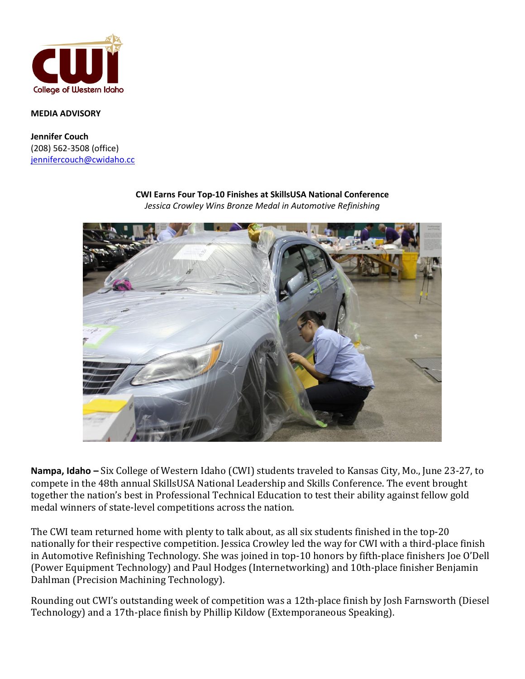

## **MEDIA ADVISORY**

**Jennifer Couch** (208) 562-3508 (office) [jennifercouch@cwidaho.cc](mailto:jennifercouch@cwidaho.cc)



**CWI Earns Four Top-10 Finishes at SkillsUSA National Conference**

*Jessica Crowley Wins Bronze Medal in Automotive Refinishing*

**Nampa, Idaho –** Six College of Western Idaho (CWI) students traveled to Kansas City, Mo., June 23-27, to compete in the 48th annual SkillsUSA National Leadership and Skills Conference. The event brought together the nation's best in Professional Technical Education to test their ability against fellow gold medal winners of state-level competitions across the nation.

The CWI team returned home with plenty to talk about, as all six students finished in the top-20 nationally for their respective competition. Jessica Crowley led the way for CWI with a third-place finish in Automotive Refinishing Technology. She was joined in top-10 honors by fifth-place finishers Joe O'Dell (Power Equipment Technology) and Paul Hodges (Internetworking) and 10th-place finisher Benjamin Dahlman (Precision Machining Technology).

Rounding out CWI's outstanding week of competition was a 12th-place finish by Josh Farnsworth (Diesel Technology) and a 17th-place finish by Phillip Kildow (Extemporaneous Speaking).